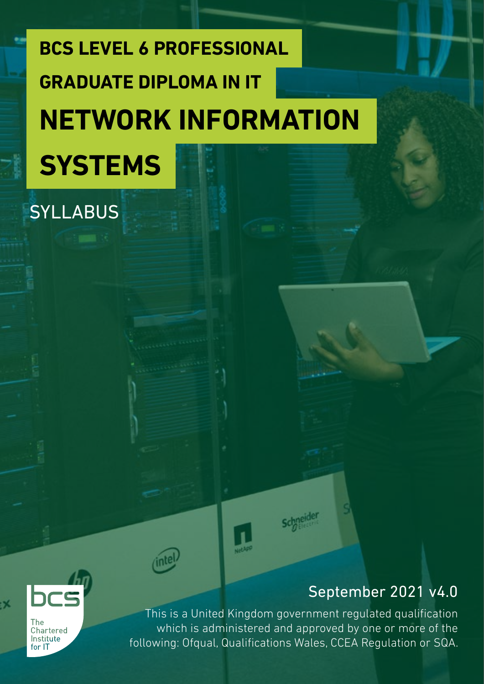# **BCS LEVEL 6 PROFESSIONAL NETWORK INFORMATION SYSTEMS GRADUATE DIPLOMA IN IT**

### SYLLABUS

### September 2021 v4.0



:X

This is a United Kingdom government regulated qualification which is administered and approved by one or more of the following: Ofqual, Qualifications Wales, CCEA Regulation or SQA.

**schneider**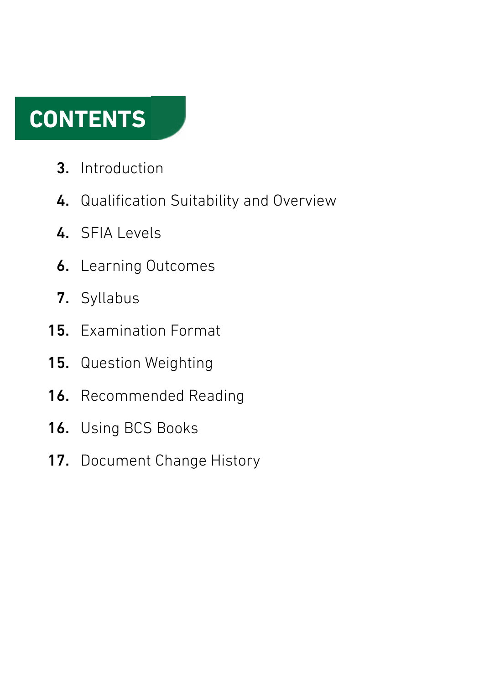### **CONTENTS**

- Introduction 3.
- 4. Qualification Suitability and Overview
- 4. SFIA Levels
- **6.** Learning Outcomes
- 7. Syllabus
- 15. Examination Format
- Question Weighting 15.
- Recommended Reading 16.
- Using BCS Books 16.
- Document Change History 17.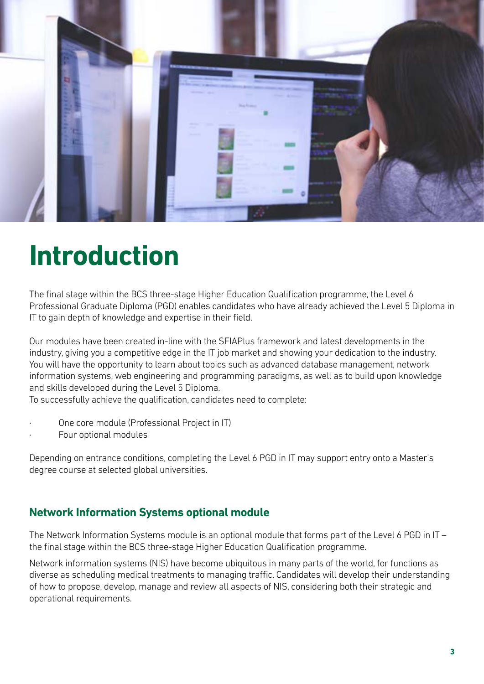

### **Introduction**

The final stage within the BCS three-stage Higher Education Qualification programme, the Level 6 Professional Graduate Diploma (PGD) enables candidates who have already achieved the Level 5 Diploma in IT to gain depth of knowledge and expertise in their field.

Our modules have been created in-line with the SFIAPlus framework and latest developments in the industry, giving you a competitive edge in the IT job market and showing your dedication to the industry. You will have the opportunity to learn about topics such as advanced database management, network information systems, web engineering and programming paradigms, as well as to build upon knowledge and skills developed during the Level 5 Diploma.

To successfully achieve the qualification, candidates need to complete:

- One core module (Professional Project in IT)
- Four optional modules

Depending on entrance conditions, completing the Level 6 PGD in IT may support entry onto a Master's degree course at selected global universities.

#### **Network Information Systems optional module**

The Network Information Systems module is an optional module that forms part of the Level 6 PGD in IT – the final stage within the BCS three-stage Higher Education Qualification programme.

Network information systems (NIS) have become ubiquitous in many parts of the world, for functions as diverse as scheduling medical treatments to managing traffic. Candidates will develop their understanding of how to propose, develop, manage and review all aspects of NIS, considering both their strategic and operational requirements.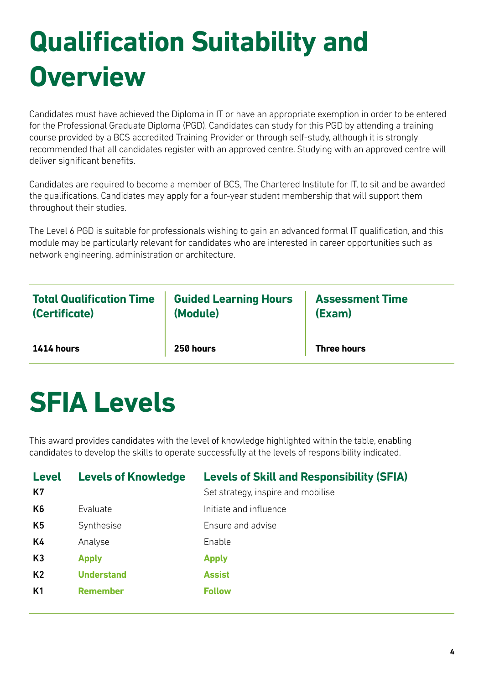# **Qualification Suitability and Overview**

Candidates must have achieved the Diploma in IT or have an appropriate exemption in order to be entered for the Professional Graduate Diploma (PGD). Candidates can study for this PGD by attending a training course provided by a BCS accredited Training Provider or through self-study, although it is strongly recommended that all candidates register with an approved centre. Studying with an approved centre will deliver significant benefits.

Candidates are required to become a member of BCS, The Chartered Institute for IT, to sit and be awarded the qualifications. Candidates may apply for a four-year student membership that will support them throughout their studies.

The Level 6 PGD is suitable for professionals wishing to gain an advanced formal IT qualification, and this module may be particularly relevant for candidates who are interested in career opportunities such as network engineering, administration or architecture.

| <b>Total Qualification Time</b> | <b>Guided Learning Hours</b> | <b>Assessment Time</b> |
|---------------------------------|------------------------------|------------------------|
| (Certificate)                   | (Module)                     | (Exam)                 |
| $1414$ hours                    | <b>250 hours</b>             | <b>Three hours</b>     |

### **SFIA Levels**

This award provides candidates with the level of knowledge highlighted within the table, enabling candidates to develop the skills to operate successfully at the levels of responsibility indicated.

| <b>Level</b><br>K7 | <b>Levels of Knowledge</b> | <b>Levels of Skill and Responsibility (SFIA)</b><br>Set strategy, inspire and mobilise |
|--------------------|----------------------------|----------------------------------------------------------------------------------------|
| K <sub>6</sub>     | Evaluate                   | Initiate and influence                                                                 |
| K5                 | Synthesise                 | Ensure and advise                                                                      |
| K4                 | Analyse                    | Enable                                                                                 |
| K3                 | <b>Apply</b>               | <b>Apply</b>                                                                           |
| K <sub>2</sub>     | <b>Understand</b>          | <b>Assist</b>                                                                          |
| K <sub>1</sub>     | <b>Remember</b>            | <b>Follow</b>                                                                          |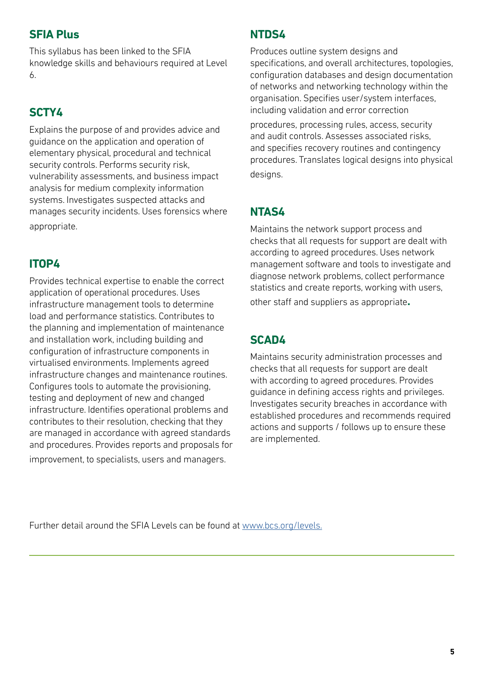#### **SFIA Plus**

This syllabus has been linked to the SFIA knowledge skills and behaviours required at Level 6.

#### **SCTY4**

Explains the purpose of and provides advice and guidance on the application and operation of elementary physical, procedural and technical security controls. Performs security risk, vulnerability assessments, and business impact analysis for medium complexity information systems. Investigates suspected attacks and manages security incidents. Uses forensics where appropriate.

#### **ITOP4**

Provides technical expertise to enable the correct application of operational procedures. Uses infrastructure management tools to determine load and performance statistics. Contributes to the planning and implementation of maintenance and installation work, including building and configuration of infrastructure components in virtualised environments. Implements agreed infrastructure changes and maintenance routines. Configures tools to automate the provisioning, testing and deployment of new and changed infrastructure. Identifies operational problems and contributes to their resolution, checking that they are managed in accordance with agreed standards and procedures. Provides reports and proposals for improvement, to specialists, users and managers.

#### **NTDS4**

Produces outline system designs and specifications, and overall architectures, topologies, configuration databases and design documentation of networks and networking technology within the organisation. Specifies user/system interfaces, including validation and error correction

procedures, processing rules, access, security and audit controls. Assesses associated risks, and specifies recovery routines and contingency procedures. Translates logical designs into physical desians.

#### **NTAS4**

Maintains the network support process and checks that all requests for support are dealt with according to agreed procedures. Uses network management software and tools to investigate and diagnose network problems, collect performance statistics and create reports, working with users, other staff and suppliers as appropriate**.**

#### **SCAD4**

Maintains security administration processes and checks that all requests for support are dealt with according to agreed procedures. Provides guidance in defining access rights and privileges. Investigates security breaches in accordance with established procedures and recommends required actions and supports / follows up to ensure these are implemented.

Further detail around the SFIA Levels can be found at [www.bcs.org/levels.](https://www.bcs.org/media/5165/sfia-levels-knowledge.pdf)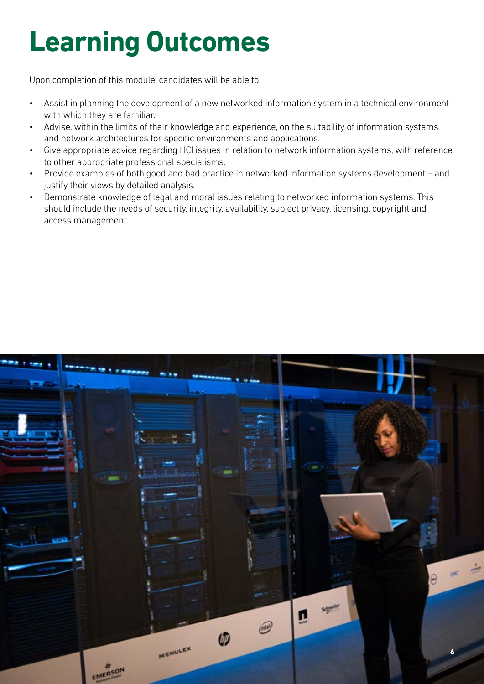# **Learning Outcomes**

Upon completion of this module, candidates will be able to:

- Assist in planning the development of a new networked information system in a technical environment with which they are familiar.
- Advise, within the limits of their knowledge and experience, on the suitability of information systems and network architectures for specific environments and applications.
- Give appropriate advice regarding HCI issues in relation to network information systems, with reference to other appropriate professional specialisms.
- Provide examples of both good and bad practice in networked information systems development and justify their views by detailed analysis.
- Demonstrate knowledge of legal and moral issues relating to networked information systems. This should include the needs of security, integrity, availability, subject privacy, licensing, copyright and access management.

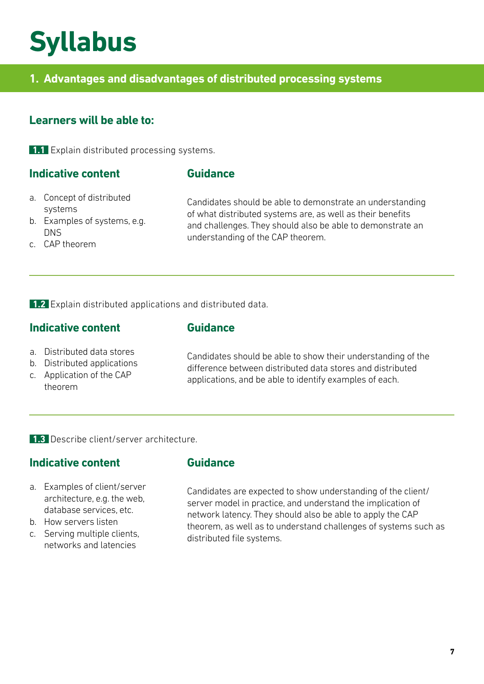### **Syllabus**

#### **1. Advantages and disadvantages of distributed processing systems**

#### **Learners will be able to:**

**1.1** Explain distributed processing systems.

#### **Indicative content**

#### **Guidance**

- a. Concept of distributed systems
- b. Examples of systems, e.g. DNS
- c. CAP theorem

Candidates should be able to demonstrate an understanding of what distributed systems are, as well as their benefits and challenges. They should also be able to demonstrate an understanding of the CAP theorem.

**1.2** Explain distributed applications and distributed data.

#### **Indicative content**

#### **Guidance**

- a. Distributed data stores
- b. Distributed applications
- c. Application of the CAP theorem

Candidates should be able to show their understanding of the difference between distributed data stores and distributed applications, and be able to identify examples of each.

**1.3** Describe client/server architecture.

#### **Indicative content**

#### **Guidance**

- a. Examples of client/server architecture, e.g. the web, database services, etc.
- b. How servers listen
- c. Serving multiple clients, networks and latencies

Candidates are expected to show understanding of the client/ server model in practice, and understand the implication of network latency. They should also be able to apply the CAP theorem, as well as to understand challenges of systems such as distributed file systems.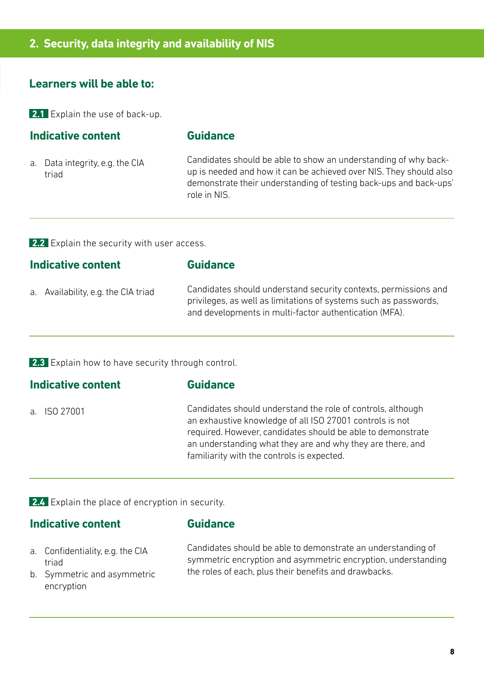#### **Learners will be able to:**

**2.1** Explain the use of back-up.

#### **Indicative content**

#### **Guidance**

a. Data integrity, e.g. the CIA triad

Candidates should be able to show an understanding of why backup is needed and how it can be achieved over NIS. They should also demonstrate their understanding of testing back-ups and back-ups' role in NIS.

**2.2** Explain the security with user access.

| <b>Indicative content</b>           | <b>Guidance</b>                                                                                                                                                                               |  |
|-------------------------------------|-----------------------------------------------------------------------------------------------------------------------------------------------------------------------------------------------|--|
| a. Availability, e.g. the CIA triad | Candidates should understand security contexts, permissions and<br>privileges, as well as limitations of systems such as passwords,<br>and developments in multi-factor authentication (MFA). |  |

**2.3** Explain how to have security through control.

#### **Indicative content**

#### **Guidance**

a. ISO 27001

Candidates should understand the role of controls, although an exhaustive knowledge of all ISO 27001 controls is not required. However, candidates should be able to demonstrate an understanding what they are and why they are there, and familiarity with the controls is expected.

**2.4** Explain the place of encryption in security.

#### **Indicative content**

#### **Guidance**

- a. Confidentiality, e.g. the CIA triad
- b. Symmetric and asymmetric encryption

Candidates should be able to demonstrate an understanding of symmetric encryption and asymmetric encryption, understanding the roles of each, plus their benefits and drawbacks.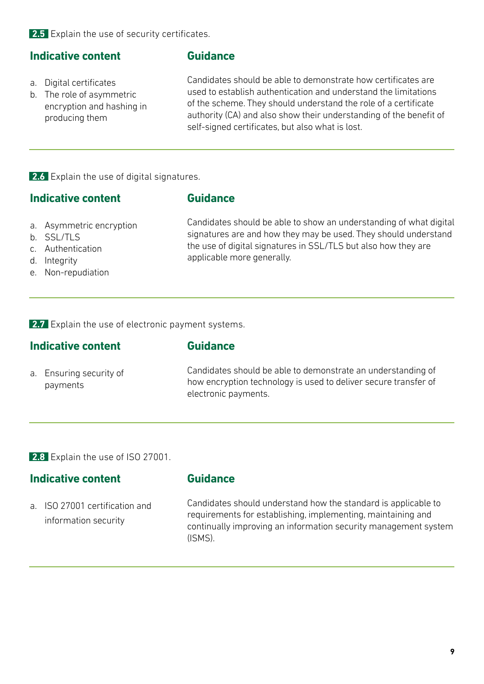**2.5** Explain the use of security certificates.

#### **Indicative content**

- a. Digital certificates
- b. The role of asymmetric encryption and hashing in producing them

#### **Guidance**

Candidates should be able to demonstrate how certificates are used to establish authentication and understand the limitations of the scheme. They should understand the role of a certificate authority (CA) and also show their understanding of the benefit of self-signed certificates, but also what is lost.

**2.6** Explain the use of digital signatures.

#### **Indicative content**

#### **Guidance**

- a. Asymmetric encryption
- b. SSL/TLS
- c. Authentication
- d. Integrity
- e. Non-repudiation

Candidates should be able to show an understanding of what digital signatures are and how they may be used. They should understand the use of digital signatures in SSL/TLS but also how they are applicable more generally.

**2.7** Explain the use of electronic payment systems.

#### **Indicative content**

- 
- a. Ensuring security of payments

Candidates should be able to demonstrate an understanding of how encryption technology is used to deliver secure transfer of electronic payments.

**2.8** Explain the use of ISO 27001.

#### **Indicative content**

**Guidance**

**Guidance**

a. ISO 27001 certification and information security

Candidates should understand how the standard is applicable to requirements for establishing, implementing, maintaining and continually improving an information security management system (ISMS).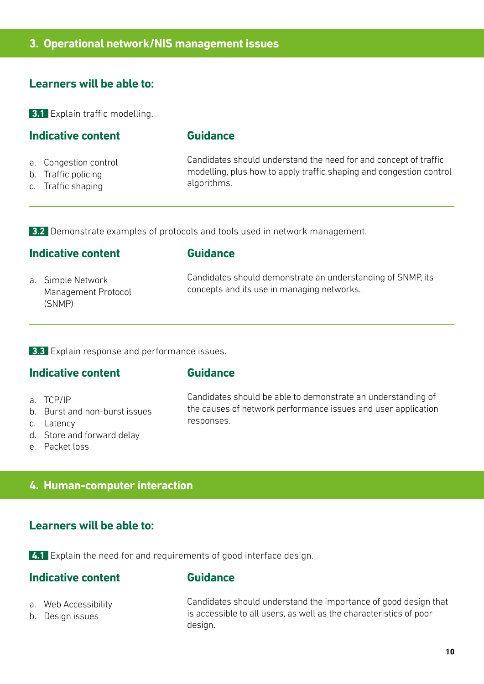#### **Learners will be able to:**

**3.1** Explain traffic modelling.

#### **Indicative content**

#### **Guidance**

- a. Congestion control
- b. Traffic policing
- c. Traffic shaping

Candidates should understand the need for and concept of traffic modelling, plus how to apply traffic shaping and congestion control algorithms.

**3.2** Demonstrate examples of protocols and tools used in network management.

#### **Indicative content**

#### **Guidance**

a. Simple Network Management Protocol (SNMP)

Candidates should demonstrate an understanding of SNMP, its concepts and its use in managing networks.

**3.3** Explain response and performance issues.

#### **Indicative content**

#### **Guidance**

- a. TCP/IP
- b. Burst and non-burst issues
- c. Latency
- d. Store and forward delay
- e. Packet loss

Candidates should be able to demonstrate an understanding of the causes of network performance issues and user application responses.

#### **4. Human-computer interaction**

#### **Learners will be able to:**

**4.1** Explain the need for and requirements of good interface design.

#### **Indicative content**

#### **Guidance**

- a. Web Accessibility
- b. Design issues

Candidates should understand the importance of good design that is accessible to all users, as well as the characteristics of poor design.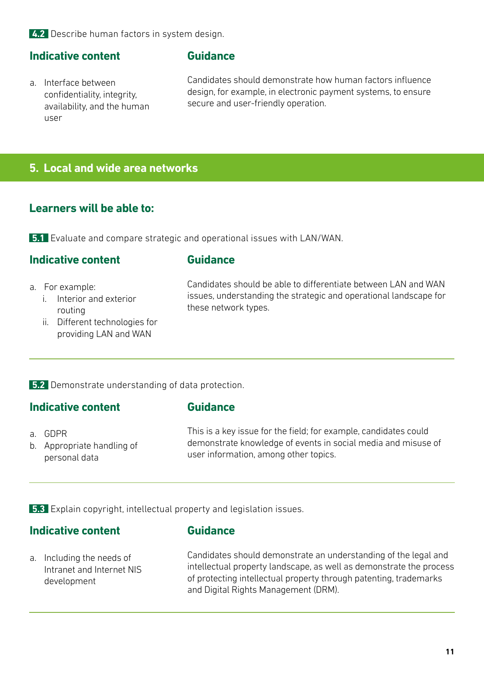**4.2** Describe human factors in system design.

#### **Indicative content**

a. Interface between confidentiality, integrity, availability, and the human user

#### **Guidance**

Candidates should demonstrate how human factors influence design, for example, in electronic payment systems, to ensure secure and user-friendly operation.

#### **5. Local and wide area networks**

#### **Learners will be able to:**

**5.1** Evaluate and compare strategic and operational issues with LAN/WAN.

#### **Indicative content**

- a. For example:
	- i. Interior and exterior routing
	- ii. Different technologies for providing LAN and WAN

#### **Guidance**

Candidates should be able to differentiate between LAN and WAN issues, understanding the strategic and operational landscape for these network types.

**5.2** Demonstrate understanding of data protection.

#### **Indicative content**

#### **Guidance**

a. GDPR b. Appropriate handling of personal data

This is a key issue for the field; for example, candidates could demonstrate knowledge of events in social media and misuse of user information, among other topics.

**5.3** Explain copyright, intellectual property and legislation issues.

#### **Indicative content**

#### **Guidance**

a. Including the needs of Intranet and Internet NIS development

Candidates should demonstrate an understanding of the legal and intellectual property landscape, as well as demonstrate the process of protecting intellectual property through patenting, trademarks and Digital Rights Management (DRM).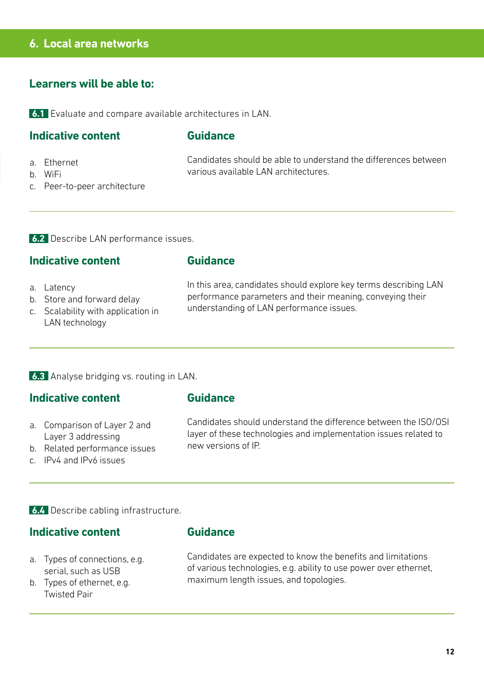#### **6. Local area networks**

#### **Learners will be able to:**

**6.1** Evaluate and compare available architectures in LAN.

#### **Indicative content**

#### **Guidance**

**Guidance**

various available LAN architectures.

a. Ethernet

b. WiFi

c. Peer-to-peer architecture

**6.2** Describe LAN performance issues.

#### **Indicative content**

#### a. Latency

- b. Store and forward delay
- c. Scalability with application in LAN technology

In this area, candidates should explore key terms describing LAN performance parameters and their meaning, conveying their understanding of LAN performance issues.

Candidates should be able to understand the differences between

#### **6.3** Analyse bridging vs. routing in LAN.

#### **Indicative content**

- a. Comparison of Layer 2 and Layer 3 addressing
- b. Related performance issues
- c. IPv4 and IPv6 issues

#### **Guidance**

Candidates should understand the difference between the ISO/OSI layer of these technologies and implementation issues related to new versions of IP.

**6.4** Describe cabling infrastructure.

#### **Indicative content**

- a. Types of connections, e.g. serial, such as USB
- b. Types of ethernet, e.g. Twisted Pair

#### **Guidance**

Candidates are expected to know the benefits and limitations of various technologies, e.g. ability to use power over ethernet, maximum length issues, and topologies.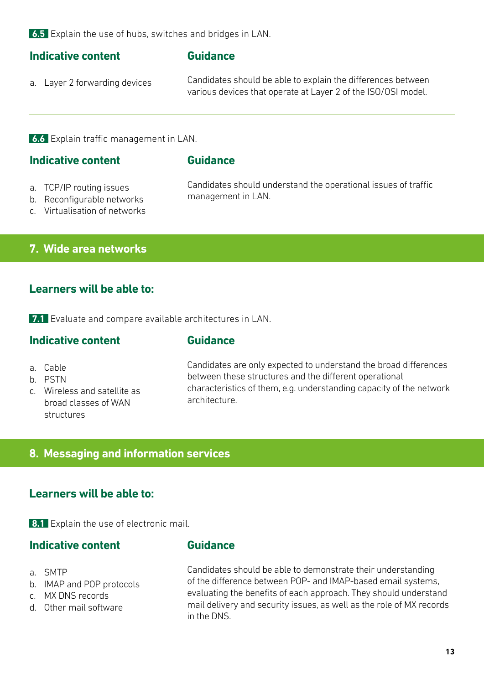**6.5** Explain the use of hubs, switches and bridges in LAN.

#### **Indicative content**

#### **Guidance**

a. Layer 2 forwarding devices

Candidates should be able to explain the differences between various devices that operate at Layer 2 of the ISO/OSI model.

**6.6** Explain traffic management in LAN.

#### **Indicative content**

#### **Guidance**

- a. TCP/IP routing issues
- b. Reconfigurable networks
- c. Virtualisation of networks

Candidates should understand the operational issues of traffic management in LAN.

**7. Wide area networks**

#### **Learners will be able to:**

**7.1** Evaluate and compare available architectures in LAN.

#### **Indicative content**

#### **Guidance**

- a. Cable
- b. PSTN
- c. Wireless and satellite as broad classes of WAN structures

Candidates are only expected to understand the broad differences between these structures and the different operational characteristics of them, e.g. understanding capacity of the network architecture.

#### **8. Messaging and information services**

#### **Learners will be able to:**

**8.1** Explain the use of electronic mail.

#### **Indicative content**

- a. SMTP
- b. IMAP and POP protocols
- c. MX DNS records
- d. Other mail software

#### **Guidance**

Candidates should be able to demonstrate their understanding of the difference between POP- and IMAP-based email systems, evaluating the benefits of each approach. They should understand mail delivery and security issues, as well as the role of MX records in the DNS.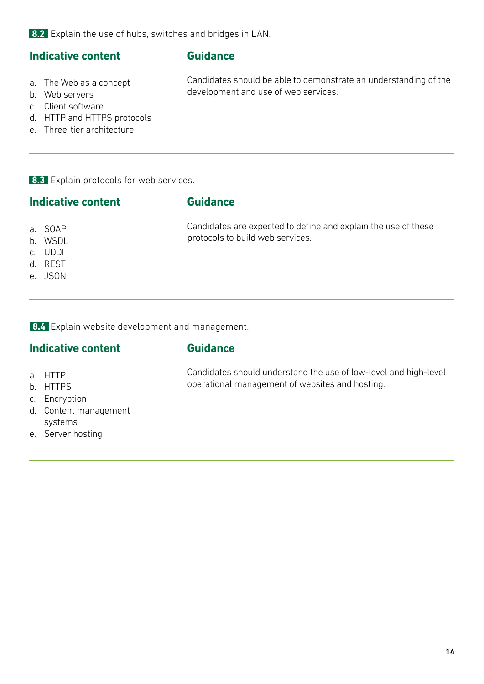**8.2** Explain the use of hubs, switches and bridges in LAN.

#### **Indicative content**

#### **Guidance**

a. The Web as a concept

Candidates should be able to demonstrate an understanding of the development and use of web services.

- b. Web servers c. Client software
- d. HTTP and HTTPS protocols
- e. Three-tier architecture

**8.3** Explain protocols for web services.

#### **Indicative content**

#### **Guidance**

protocols to build web services.

- a. SOAP
- b. WSDL
- c. UDDI
- d. REST
- e. JSON

**8.4** Explain website development and management.

#### **Indicative content**

#### **Guidance**

- a. HTTP
- b. HTTPS
- c. Encryption
- d. Content management systems
- e. Server hosting

Candidates should understand the use of low-level and high-level

operational management of websites and hosting.

Candidates are expected to define and explain the use of these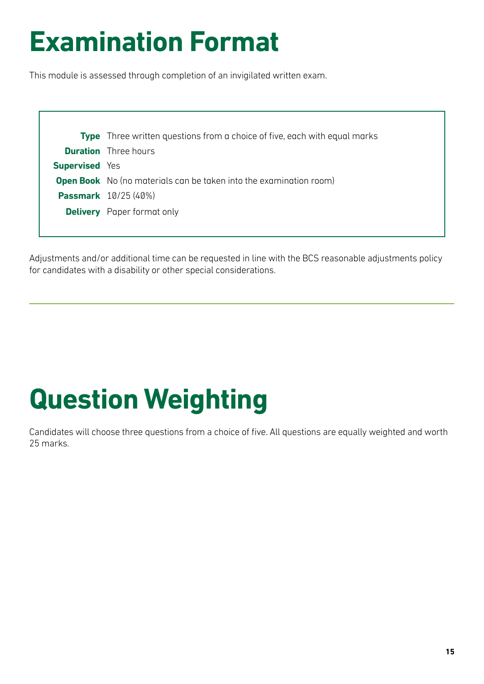# **Examination Format**

This module is assessed through completion of an invigilated written exam.

|                       | <b>Type</b> Three written questions from a choice of five, each with equal marks |
|-----------------------|----------------------------------------------------------------------------------|
|                       | <b>Duration</b> Three hours                                                      |
| <b>Supervised Yes</b> |                                                                                  |
|                       | <b>Open Book</b> No (no materials can be taken into the examination room)        |
|                       | <b>Passmark</b> 10/25 (40%)                                                      |
|                       | <b>Delivery</b> Paper format only                                                |
|                       |                                                                                  |

Adjustments and/or additional time can be requested in line with the BCS reasonable adjustments policy for candidates with a disability or other special considerations.

# **Question Weighting**

Candidates will choose three questions from a choice of five. All questions are equally weighted and worth 25 marks.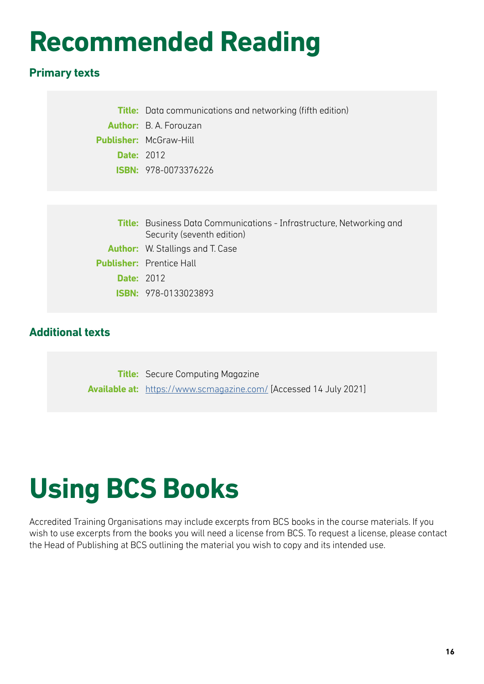# **Recommended Reading**

#### **Primary texts**

|                   | <b>Title:</b> Data communications and networking (fifth edition) |  |
|-------------------|------------------------------------------------------------------|--|
|                   | <b>Author:</b> B. A. Forouzan                                    |  |
|                   | <b>Publisher:</b> McGraw-Hill                                    |  |
| <b>Date: 2012</b> |                                                                  |  |
|                   | <b>ISBN:</b> 978-0073376226                                      |  |

|                   | <b>Title:</b> Business Data Communications - Infrastructure, Networking and |  |
|-------------------|-----------------------------------------------------------------------------|--|
|                   | Security (seventh edition)                                                  |  |
|                   | <b>Author:</b> W. Stallings and T. Case                                     |  |
|                   | <b>Publisher:</b> Prentice Hall                                             |  |
| <b>Date: 2012</b> |                                                                             |  |
|                   | <b>ISBN: 978-0133023893</b>                                                 |  |

#### **Additional texts**

**Title:** Secure Computing Magazine **Available at:** <https://www.scmagazine.com/>[Accessed 14 July 2021]

### **Using BCS Books**

Accredited Training Organisations may include excerpts from BCS books in the course materials. If you wish to use excerpts from the books you will need a license from BCS. To request a license, please contact the Head of Publishing at BCS outlining the material you wish to copy and its intended use.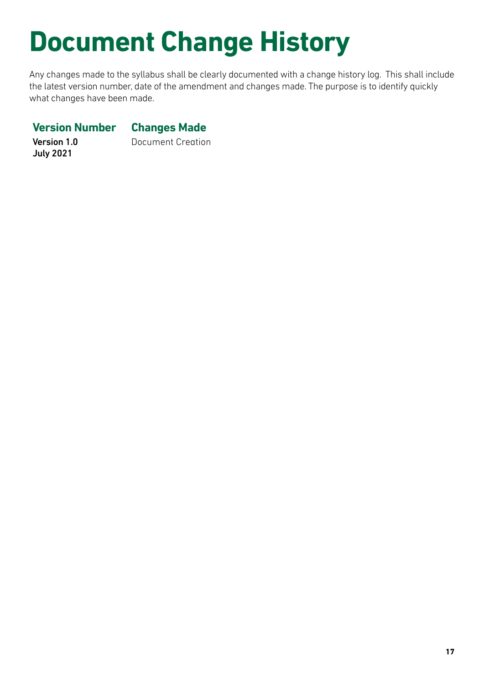# **Document Change History**

Any changes made to the syllabus shall be clearly documented with a change history log. This shall include the latest version number, date of the amendment and changes made. The purpose is to identify quickly what changes have been made.

#### **Version Number Changes Made**

Version 1.0 July 2021

Document Creation